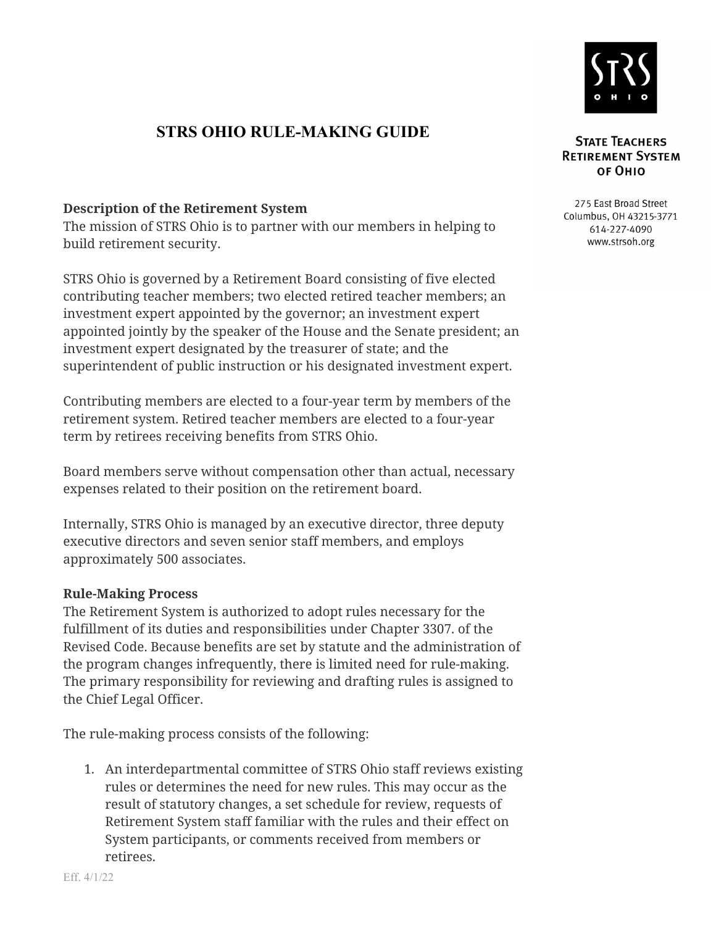

## **STRS OHIO RULE-MAKING GUIDE**

## **Description of the Retirement System**

The mission of STRS Ohio is to partner with our members in helping to build retirement security.

STRS Ohio is governed by a Retirement Board consisting of five elected contributing teacher members; two elected retired teacher members; an investment expert appointed by the governor; an investment expert appointed jointly by the speaker of the House and the Senate president; an investment expert designated by the treasurer of state; and the superintendent of public instruction or his designated investment expert.

Contributing members are elected to a four-year term by members of the retirement system. Retired teacher members are elected to a four-year term by retirees receiving benefits from STRS Ohio.

Board members serve without compensation other than actual, necessary expenses related to their position on the retirement board.

Internally, STRS Ohio is managed by an executive director, three deputy executive directors and seven senior staff members, and employs approximately 500 associates.

## **Rule-Making Process**

The Retirement System is authorized to adopt rules necessary for the fulfillment of its duties and responsibilities under Chapter 3307. of the Revised Code. Because benefits are set by statute and the administration of the program changes infrequently, there is limited need for rule-making. The primary responsibility for reviewing and drafting rules is assigned to the Chief Legal Officer.

The rule-making process consists of the following:

1. An interdepartmental committee of STRS Ohio staff reviews existing rules or determines the need for new rules. This may occur as the result of statutory changes, a set schedule for review, requests of Retirement System staff familiar with the rules and their effect on System participants, or comments received from members or retirees.

## **STATE TEACHERS RETIREMENT SYSTEM** ог Оніо

275 East Broad Street Columbus, OH 43215-3771 614-227-4090 www.strsoh.org